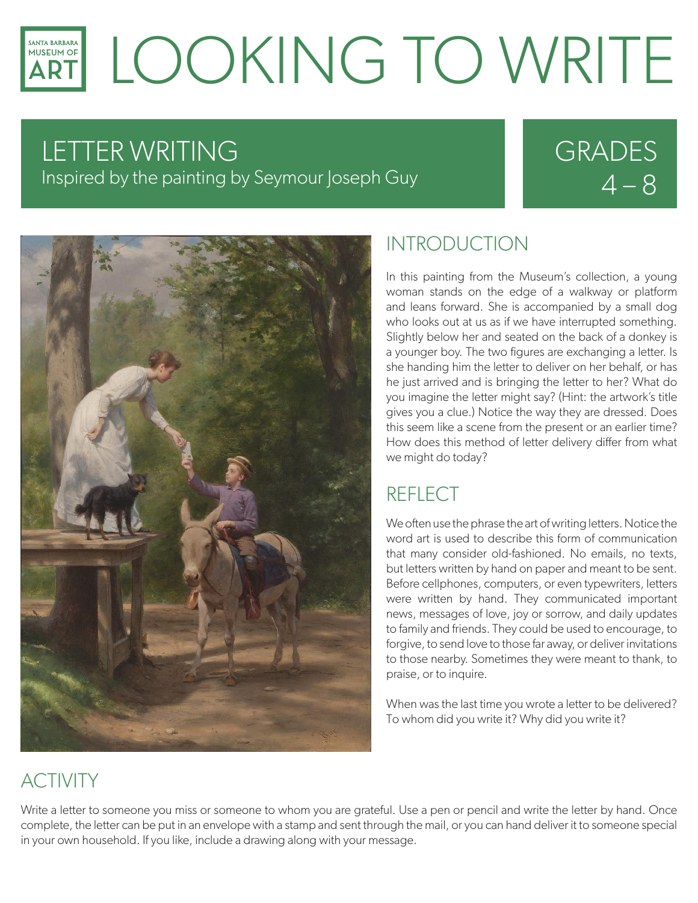### LOOKING TO WRITE **SANTA BARBARA** MUSEUM OF

# LETTER WRITING

Inspired by the painting by Seymour Joseph Guy

# GRADES  $4 - 8$



#### INTRODUCTION

In this painting from the Museum's collection, a young woman stands on the edge of a walkway or platform and leans forward. She is accompanied by a small dog who looks out at us as if we have interrupted something. Slightly below her and seated on the back of a donkey is a younger boy. The two figures are exchanging a letter. Is she handing him the letter to deliver on her behalf, or has he just arrived and is bringing the letter to her? What do you imagine the letter might say? (Hint: the artwork's title gives you a clue.) Notice the way they are dressed. Does this seem like a scene from the present or an earlier time? How does this method of letter delivery differ from what we might do today?

## REFLECT

We often use the phrase the art of writing letters. Notice the word art is used to describe this form of communication that many consider old-fashioned. No emails, no texts, but letters written by hand on paper and meant to be sent. Before cellphones, computers, or even typewriters, letters were written by hand. They communicated important news, messages of love, joy or sorrow, and daily updates to family and friends. They could be used to encourage, to forgive, to send love to those far away, or deliver invitations to those nearby. Sometimes they were meant to thank, to praise, or to inquire.

When was the last time you wrote a letter to be delivered? To whom did you write it? Why did you write it?

## ACTIVITY

Write a letter to someone you miss or someone to whom you are grateful. Use a pen or pencil and write the letter by hand. Once complete, the letter can be put in an envelope with a stamp and sent through the mail, or you can hand deliver it to someone special in your own household. If you like, include a drawing along with your message.